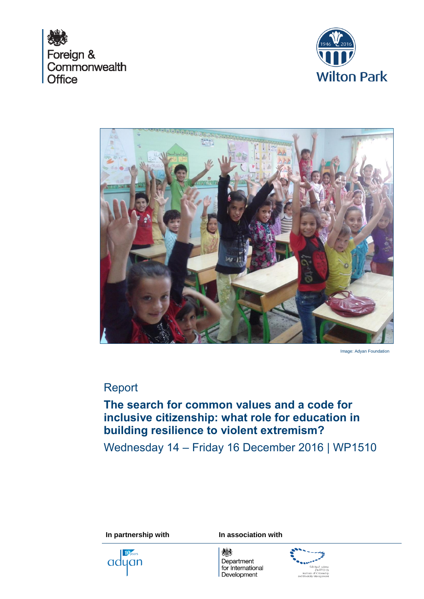





Image: Adyan Foundation

# Report

# **The search for common values and a code for inclusive citizenship: what role for education in building resilience to violent extremism?**

Wednesday 14 – Friday 16 December 2016 | WP1510

**In partnership with In association with** 

10<sub>years</sub> adyan

燃 Department for International Development

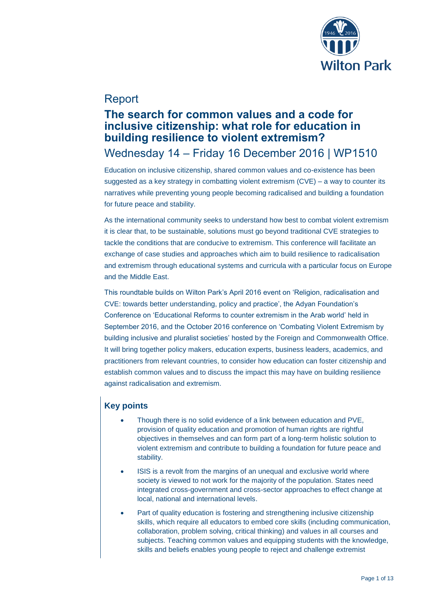

# Report

## **The search for common values and a code for inclusive citizenship: what role for education in building resilience to violent extremism?** Wednesday 14 – Friday 16 December 2016 | WP1510

Education on inclusive citizenship, shared common values and co-existence has been suggested as a key strategy in combatting violent extremism (CVE) – a way to counter its narratives while preventing young people becoming radicalised and building a foundation for future peace and stability.

As the international community seeks to understand how best to combat violent extremism it is clear that, to be sustainable, solutions must go beyond traditional CVE strategies to tackle the conditions that are conducive to extremism. This conference will facilitate an exchange of case studies and approaches which aim to build resilience to radicalisation and extremism through educational systems and curricula with a particular focus on Europe and the Middle East.

This roundtable builds on Wilton Park's April 2016 event on 'Religion, radicalisation and CVE: towards better understanding, policy and practice', the Adyan Foundation's Conference on 'Educational Reforms to counter extremism in the Arab world' held in September 2016, and the October 2016 conference on 'Combating Violent Extremism by building inclusive and pluralist societies' hosted by the Foreign and Commonwealth Office. It will bring together policy makers, education experts, business leaders, academics, and practitioners from relevant countries, to consider how education can foster citizenship and establish common values and to discuss the impact this may have on building resilience against radicalisation and extremism.

## **Key points**

- Though there is no solid evidence of a link between education and PVE, provision of quality education and promotion of human rights are rightful objectives in themselves and can form part of a long-term holistic solution to violent extremism and contribute to building a foundation for future peace and stability.
- ISIS is a revolt from the margins of an unequal and exclusive world where society is viewed to not work for the majority of the population. States need integrated cross-government and cross-sector approaches to effect change at local, national and international levels.
- Part of quality education is fostering and strengthening inclusive citizenship skills, which require all educators to embed core skills (including communication, collaboration, problem solving, critical thinking) and values in all courses and subjects. Teaching common values and equipping students with the knowledge, skills and beliefs enables young people to reject and challenge extremist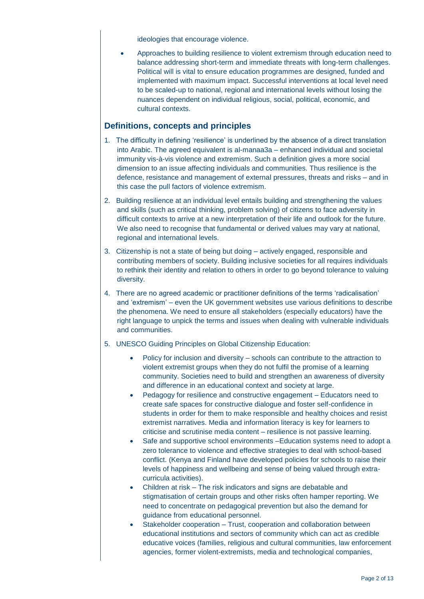ideologies that encourage violence.

 Approaches to building resilience to violent extremism through education need to balance addressing short-term and immediate threats with long-term challenges. Political will is vital to ensure education programmes are designed, funded and implemented with maximum impact. Successful interventions at local level need to be scaled-up to national, regional and international levels without losing the nuances dependent on individual religious, social, political, economic, and cultural contexts.

## **Definitions, concepts and principles**

- 1. The difficulty in defining 'resilience' is underlined by the absence of a direct translation into Arabic. The agreed equivalent is al-manaa3a – enhanced individual and societal immunity vis-à-vis violence and extremism. Such a definition gives a more social dimension to an issue affecting individuals and communities. Thus resilience is the defence, resistance and management of external pressures, threats and risks – and in this case the pull factors of violence extremism.
- 2. Building resilience at an individual level entails building and strengthening the values and skills (such as critical thinking, problem solving) of citizens to face adversity in difficult contexts to arrive at a new interpretation of their life and outlook for the future. We also need to recognise that fundamental or derived values may vary at national, regional and international levels.
- 3. Citizenship is not a state of being but doing actively engaged, responsible and contributing members of society. Building inclusive societies for all requires individuals to rethink their identity and relation to others in order to go beyond tolerance to valuing diversity.
- 4. There are no agreed academic or practitioner definitions of the terms 'radicalisation' and 'extremism' – even the UK government websites use various definitions to describe the phenomena. We need to ensure all stakeholders (especially educators) have the right language to unpick the terms and issues when dealing with vulnerable individuals and communities.
- 5. UNESCO Guiding Principles on Global Citizenship Education:
	- Policy for inclusion and diversity schools can contribute to the attraction to violent extremist groups when they do not fulfil the promise of a learning community. Societies need to build and strengthen an awareness of diversity and difference in an educational context and society at large.
	- Pedagogy for resilience and constructive engagement Educators need to create safe spaces for constructive dialogue and foster self-confidence in students in order for them to make responsible and healthy choices and resist extremist narratives. Media and information literacy is key for learners to criticise and scrutinise media content – resilience is not passive learning.
	- Safe and supportive school environments –Education systems need to adopt a zero tolerance to violence and effective strategies to deal with school-based conflict. (Kenya and Finland have developed policies for schools to raise their levels of happiness and wellbeing and sense of being valued through extracurricula activities).
	- Children at risk The risk indicators and signs are debatable and stigmatisation of certain groups and other risks often hamper reporting. We need to concentrate on pedagogical prevention but also the demand for guidance from educational personnel.
	- Stakeholder cooperation Trust, cooperation and collaboration between educational institutions and sectors of community which can act as credible educative voices (families, religious and cultural communities, law enforcement agencies, former violent-extremists, media and technological companies,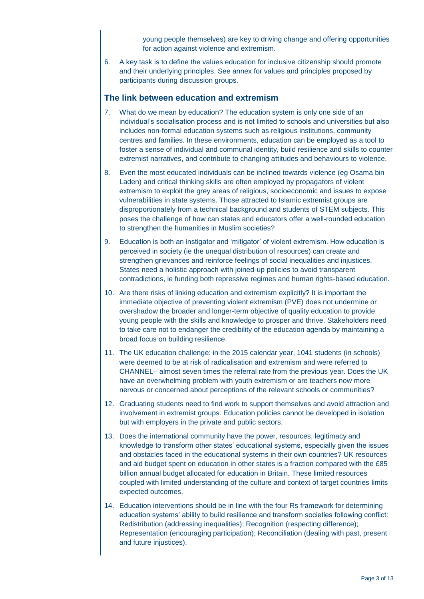young people themselves) are key to driving change and offering opportunities for action against violence and extremism.

6. A key task is to define the values education for inclusive citizenship should promote and their underlying principles. See annex for values and principles proposed by participants during discussion groups.

#### **The link between education and extremism**

- 7. What do we mean by education? The education system is only one side of an individual's socialisation process and is not limited to schools and universities but also includes non-formal education systems such as religious institutions, community centres and families. In these environments, education can be employed as a tool to foster a sense of individual and communal identity, build resilience and skills to counter extremist narratives, and contribute to changing attitudes and behaviours to violence.
- 8. Even the most educated individuals can be inclined towards violence (eg Osama bin Laden) and critical thinking skills are often employed by propagators of violent extremism to exploit the grey areas of religious, socioeconomic and issues to expose vulnerabilities in state systems. Those attracted to Islamic extremist groups are disproportionately from a technical background and students of STEM subjects. This poses the challenge of how can states and educators offer a well-rounded education to strengthen the humanities in Muslim societies?
- 9. Education is both an instigator and 'mitigator' of violent extremism. How education is perceived in society (ie the unequal distribution of resources) can create and strengthen grievances and reinforce feelings of social inequalities and injustices. States need a holistic approach with joined-up policies to avoid transparent contradictions, ie funding both repressive regimes and human rights-based education.
- 10. Are there risks of linking education and extremism explicitly? It is important the immediate objective of preventing violent extremism (PVE) does not undermine or overshadow the broader and longer-term objective of quality education to provide young people with the skills and knowledge to prosper and thrive. Stakeholders need to take care not to endanger the credibility of the education agenda by maintaining a broad focus on building resilience.
- 11. The UK education challenge: in the 2015 calendar year, 1041 students (in schools) were deemed to be at risk of radicalisation and extremism and were referred to CHANNEL– almost seven times the referral rate from the previous year. Does the UK have an overwhelming problem with youth extremism or are teachers now more nervous or concerned about perceptions of the relevant schools or communities?
- 12. Graduating students need to find work to support themselves and avoid attraction and involvement in extremist groups. Education policies cannot be developed in isolation but with employers in the private and public sectors.
- 13. Does the international community have the power, resources, legitimacy and knowledge to transform other states' educational systems, especially given the issues and obstacles faced in the educational systems in their own countries? UK resources and aid budget spent on education in other states is a fraction compared with the £85 billion annual budget allocated for education in Britain. These limited resources coupled with limited understanding of the culture and context of target countries limits expected outcomes.
- 14. Education interventions should be in line with the four Rs framework for determining education systems' ability to build resilience and transform societies following conflict: Redistribution (addressing inequalities); Recognition (respecting difference); Representation (encouraging participation); Reconciliation (dealing with past, present and future injustices).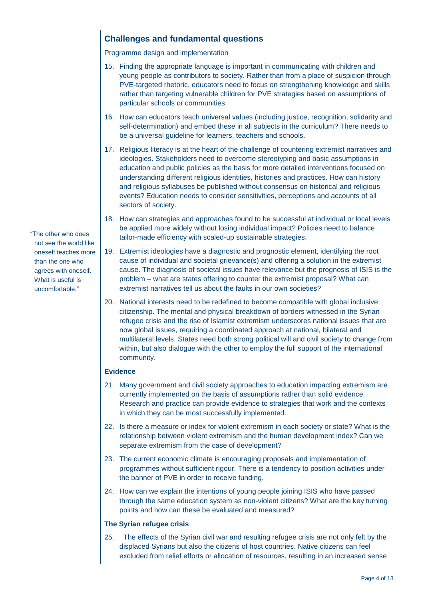## **Challenges and fundamental questions**

Programme design and implementation

- 15. Finding the appropriate language is important in communicating with children and young people as contributors to society. Rather than from a place of suspicion through PVE-targeted rhetoric, educators need to focus on strengthening knowledge and skills rather than targeting vulnerable children for PVE strategies based on assumptions of particular schools or communities.
- 16. How can educators teach universal values (including justice, recognition, solidarity and self-determination) and embed these in all subjects in the curriculum? There needs to be a universal guideline for learners, teachers and schools.
- 17. Religious literacy is at the heart of the challenge of countering extremist narratives and ideologies. Stakeholders need to overcome stereotyping and basic assumptions in education and public policies as the basis for more detailed interventions focused on understanding different religious identities, histories and practices. How can history and religious syllabuses be published without consensus on historical and religious events? Education needs to consider sensitivities, perceptions and accounts of all sectors of society.
- 18. How can strategies and approaches found to be successful at individual or local levels be applied more widely without losing individual impact? Policies need to balance tailor-made efficiency with scaled-up sustainable strategies.
- 19. Extremist ideologies have a diagnostic and prognostic element, identifying the root cause of individual and societal grievance(s) and offering a solution in the extremist cause. The diagnosis of societal issues have relevance but the prognosis of ISIS is the problem – what are states offering to counter the extremist proposal? What can extremist narratives tell us about the faults in our own societies?
- 20. National interests need to be redefined to become compatible with global inclusive citizenship. The mental and physical breakdown of borders witnessed in the Syrian refugee crisis and the rise of Islamist extremism underscores national issues that are now global issues, requiring a coordinated approach at national, bilateral and multilateral levels. States need both strong political will and civil society to change from within, but also dialogue with the other to employ the full support of the international community.

#### **Evidence**

- 21. Many government and civil society approaches to education impacting extremism are currently implemented on the basis of assumptions rather than solid evidence. Research and practice can provide evidence to strategies that work and the contexts in which they can be most successfully implemented.
- 22. Is there a measure or index for violent extremism in each society or state? What is the relationship between violent extremism and the human development index? Can we separate extremism from the case of development?
- 23. The current economic climate is encouraging proposals and implementation of programmes without sufficient rigour. There is a tendency to position activities under the banner of PVE in order to receive funding.
- 24. How can we explain the intentions of young people joining ISIS who have passed through the same education system as non-violent citizens? What are the key turning points and how can these be evaluated and measured?

#### **The Syrian refugee crisis**

25. The effects of the Syrian civil war and resulting refugee crisis are not only felt by the displaced Syrians but also the citizens of host countries. Native citizens can feel excluded from relief efforts or allocation of resources, resulting in an increased sense

"The other who does not see the world like oneself teaches more than the one who agrees with oneself. What is useful is uncomfortable."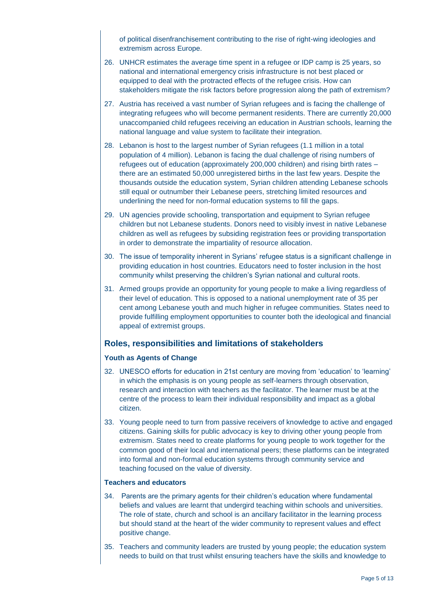of political disenfranchisement contributing to the rise of right-wing ideologies and extremism across Europe.

- 26. UNHCR estimates the average time spent in a refugee or IDP camp is 25 years, so national and international emergency crisis infrastructure is not best placed or equipped to deal with the protracted effects of the refugee crisis. How can stakeholders mitigate the risk factors before progression along the path of extremism?
- 27. Austria has received a vast number of Syrian refugees and is facing the challenge of integrating refugees who will become permanent residents. There are currently 20,000 unaccompanied child refugees receiving an education in Austrian schools, learning the national language and value system to facilitate their integration.
- 28. Lebanon is host to the largest number of Syrian refugees (1.1 million in a total population of 4 million). Lebanon is facing the dual challenge of rising numbers of refugees out of education (approximately 200,000 children) and rising birth rates – there are an estimated 50,000 unregistered births in the last few years. Despite the thousands outside the education system, Syrian children attending Lebanese schools still equal or outnumber their Lebanese peers, stretching limited resources and underlining the need for non-formal education systems to fill the gaps.
- 29. UN agencies provide schooling, transportation and equipment to Syrian refugee children but not Lebanese students. Donors need to visibly invest in native Lebanese children as well as refugees by subsiding registration fees or providing transportation in order to demonstrate the impartiality of resource allocation.
- 30. The issue of temporality inherent in Syrians' refugee status is a significant challenge in providing education in host countries. Educators need to foster inclusion in the host community whilst preserving the children's Syrian national and cultural roots.
- 31. Armed groups provide an opportunity for young people to make a living regardless of their level of education. This is opposed to a national unemployment rate of 35 per cent among Lebanese youth and much higher in refugee communities. States need to provide fulfilling employment opportunities to counter both the ideological and financial appeal of extremist groups.

## **Roles, responsibilities and limitations of stakeholders**

#### **Youth as Agents of Change**

- 32. UNESCO efforts for education in 21st century are moving from 'education' to 'learning' in which the emphasis is on young people as self-learners through observation, research and interaction with teachers as the facilitator. The learner must be at the centre of the process to learn their individual responsibility and impact as a global citizen.
- 33. Young people need to turn from passive receivers of knowledge to active and engaged citizens. Gaining skills for public advocacy is key to driving other young people from extremism. States need to create platforms for young people to work together for the common good of their local and international peers; these platforms can be integrated into formal and non-formal education systems through community service and teaching focused on the value of diversity.

#### **Teachers and educators**

- 34. Parents are the primary agents for their children's education where fundamental beliefs and values are learnt that undergird teaching within schools and universities. The role of state, church and school is an ancillary facilitator in the learning process but should stand at the heart of the wider community to represent values and effect positive change.
- 35. Teachers and community leaders are trusted by young people; the education system needs to build on that trust whilst ensuring teachers have the skills and knowledge to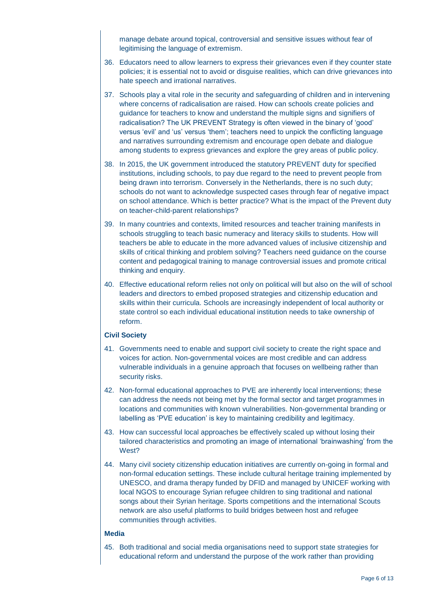manage debate around topical, controversial and sensitive issues without fear of legitimising the language of extremism.

- 36. Educators need to allow learners to express their grievances even if they counter state policies; it is essential not to avoid or disguise realities, which can drive grievances into hate speech and irrational narratives.
- 37. Schools play a vital role in the security and safeguarding of children and in intervening where concerns of radicalisation are raised. How can schools create policies and guidance for teachers to know and understand the multiple signs and signifiers of radicalisation? The UK PREVENT Strategy is often viewed in the binary of 'good' versus 'evil' and 'us' versus 'them'; teachers need to unpick the conflicting language and narratives surrounding extremism and encourage open debate and dialogue among students to express grievances and explore the grey areas of public policy.
- 38. In 2015, the UK government introduced the statutory PREVENT duty for specified institutions, including schools, to pay due regard to the need to prevent people from being drawn into terrorism. Conversely in the Netherlands, there is no such duty; schools do not want to acknowledge suspected cases through fear of negative impact on school attendance. Which is better practice? What is the impact of the Prevent duty on teacher-child-parent relationships?
- 39. In many countries and contexts, limited resources and teacher training manifests in schools struggling to teach basic numeracy and literacy skills to students. How will teachers be able to educate in the more advanced values of inclusive citizenship and skills of critical thinking and problem solving? Teachers need guidance on the course content and pedagogical training to manage controversial issues and promote critical thinking and enquiry.
- 40. Effective educational reform relies not only on political will but also on the will of school leaders and directors to embed proposed strategies and citizenship education and skills within their curricula. Schools are increasingly independent of local authority or state control so each individual educational institution needs to take ownership of reform.

#### **Civil Society**

- 41. Governments need to enable and support civil society to create the right space and voices for action. Non-governmental voices are most credible and can address vulnerable individuals in a genuine approach that focuses on wellbeing rather than security risks.
- 42. Non-formal educational approaches to PVE are inherently local interventions; these can address the needs not being met by the formal sector and target programmes in locations and communities with known vulnerabilities. Non-governmental branding or labelling as 'PVE education' is key to maintaining credibility and legitimacy.
- 43. How can successful local approaches be effectively scaled up without losing their tailored characteristics and promoting an image of international 'brainwashing' from the West?
- 44. Many civil society citizenship education initiatives are currently on-going in formal and non-formal education settings. These include cultural heritage training implemented by UNESCO, and drama therapy funded by DFID and managed by UNICEF working with local NGOS to encourage Syrian refugee children to sing traditional and national songs about their Syrian heritage. Sports competitions and the international Scouts network are also useful platforms to build bridges between host and refugee communities through activities.

#### **Media**

45. Both traditional and social media organisations need to support state strategies for educational reform and understand the purpose of the work rather than providing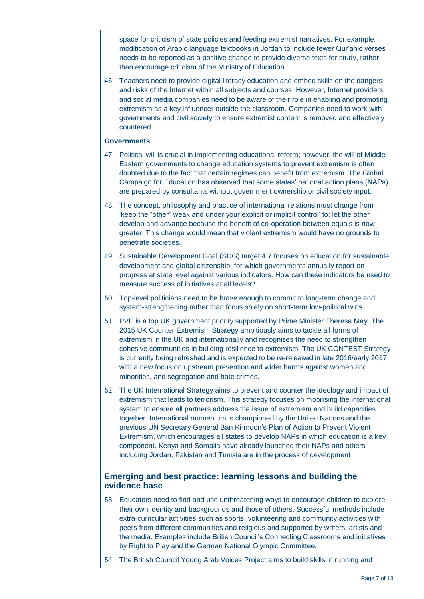space for criticism of state policies and feeding extremist narratives. For example, modification of Arabic language textbooks in Jordan to include fewer Qur'anic verses needs to be reported as a positive change to provide diverse texts for study, rather than encourage criticism of the Ministry of Education.

46. Teachers need to provide digital literacy education and embed skills on the dangers and risks of the Internet within all subjects and courses. However, Internet providers and social media companies need to be aware of their role in enabling and promoting extremism as a key influencer outside the classroom. Companies need to work with governments and civil society to ensure extremist content is removed and effectively countered.

#### **Governments**

- 47. Political will is crucial in implementing educational reform; however, the will of Middle Eastern governments to change education systems to prevent extremism is often doubted due to the fact that certain regimes can benefit from extremism. The Global Campaign for Education has observed that some states' national action plans (NAPs) are prepared by consultants without government ownership or civil society input.
- 48. The concept, philosophy and practice of international relations must change from 'keep the "other" weak and under your explicit or implicit control' to: let the other develop and advance because the benefit of co-operation between equals is now greater. This change would mean that violent extremism would have no grounds to penetrate societies.
- 49. Sustainable Development Goal (SDG) target 4.7 focuses on education for sustainable development and global citizenship, for which governments annually report on progress at state level against various indicators. How can these indicators be used to measure success of initiatives at all levels?
- 50. Top-level politicians need to be brave enough to commit to long-term change and system-strengthening rather than focus solely on short-term low-political wins.
- 51. PVE is a top UK government priority supported by Prime Minister Theresa May. The 2015 UK Counter Extremism Strategy ambitiously aims to tackle all forms of extremism in the UK and internationally and recognises the need to strengthen cohesive communities in building resilience to extremism. The UK CONTEST Strategy is currently being refreshed and is expected to be re-released in late 2016/early 2017 with a new focus on upstream prevention and wider harms against women and minorities, and segregation and hate crimes.
- 52. The UK International Strategy aims to prevent and counter the ideology and impact of extremism that leads to terrorism. This strategy focuses on mobilising the international system to ensure all partners address the issue of extremism and build capacities together. International momentum is championed by the United Nations and the previous UN Secretary General Ban Ki-moon's Plan of Action to Prevent Violent Extremism, which encourages all states to develop NAPs in which education is a key component. Kenya and Somalia have already launched their NAPs and others including Jordan, Pakistan and Tunisia are in the process of development

### **Emerging and best practice: learning lessons and building the evidence base**

- 53. Educators need to find and use unthreatening ways to encourage children to explore their own identity and backgrounds and those of others. Successful methods include extra-curricular activities such as sports, volunteering and community activities with peers from different communities and religious and supported by writers, artists and the media. Examples include British Council's Connecting Classrooms and initiatives by Right to Play and the German National Olympic Committee.
- 54. The British Council Young Arab Voices Project aims to build skills in running and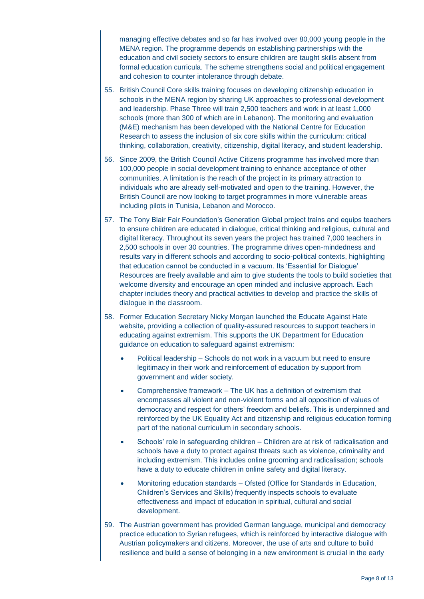managing effective debates and so far has involved over 80,000 young people in the MENA region. The programme depends on establishing partnerships with the education and civil society sectors to ensure children are taught skills absent from formal education curricula. The scheme strengthens social and political engagement and cohesion to counter intolerance through debate.

- 55. British Council Core skills training focuses on developing citizenship education in schools in the MENA region by sharing UK approaches to professional development and leadership. Phase Three will train 2,500 teachers and work in at least 1,000 schools (more than 300 of which are in Lebanon). The monitoring and evaluation (M&E) mechanism has been developed with the National Centre for Education Research to assess the inclusion of six core skills within the curriculum: critical thinking, collaboration, creativity, citizenship, digital literacy, and student leadership.
- 56. Since 2009, the British Council Active Citizens programme has involved more than 100,000 people in social development training to enhance acceptance of other communities. A limitation is the reach of the project in its primary attraction to individuals who are already self-motivated and open to the training. However, the British Council are now looking to target programmes in more vulnerable areas including pilots in Tunisia, Lebanon and Morocco.
- 57. The Tony Blair Fair Foundation's Generation Global project trains and equips teachers to ensure children are educated in dialogue, critical thinking and religious, cultural and digital literacy. Throughout its seven years the project has trained 7,000 teachers in 2,500 schools in over 30 countries. The programme drives open-mindedness and results vary in different schools and according to socio-political contexts, highlighting that education cannot be conducted in a vacuum. Its 'Essential for Dialogue' Resources are freely available and aim to give students the tools to build societies that welcome diversity and encourage an open minded and inclusive approach. Each chapter includes theory and practical activities to develop and practice the skills of dialogue in the classroom.
- 58. Former Education Secretary Nicky Morgan launched the Educate Against Hate website, providing a collection of quality-assured resources to support teachers in educating against extremism. This supports the UK Department for Education guidance on education to safeguard against extremism:
	- Political leadership Schools do not work in a vacuum but need to ensure legitimacy in their work and reinforcement of education by support from government and wider society.
	- Comprehensive framework The UK has a definition of extremism that encompasses all violent and non-violent forms and all opposition of values of democracy and respect for others' freedom and beliefs. This is underpinned and reinforced by the UK Equality Act and citizenship and religious education forming part of the national curriculum in secondary schools.
	- Schools' role in safeguarding children Children are at risk of radicalisation and schools have a duty to protect against threats such as violence, criminality and including extremism. This includes online grooming and radicalisation; schools have a duty to educate children in online safety and digital literacy.
	- Monitoring education standards Ofsted (Office for Standards in Education, Children's Services and Skills) frequently inspects schools to evaluate effectiveness and impact of education in spiritual, cultural and social development.
- 59. The Austrian government has provided German language, municipal and democracy practice education to Syrian refugees, which is reinforced by interactive dialogue with Austrian policymakers and citizens. Moreover, the use of arts and culture to build resilience and build a sense of belonging in a new environment is crucial in the early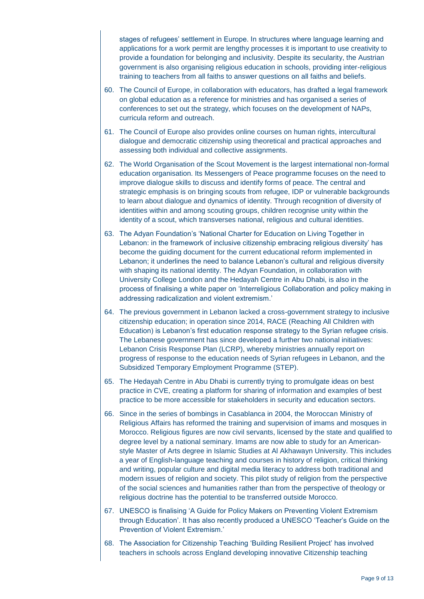stages of refugees' settlement in Europe. In structures where language learning and applications for a work permit are lengthy processes it is important to use creativity to provide a foundation for belonging and inclusivity. Despite its secularity, the Austrian government is also organising religious education in schools, providing inter-religious training to teachers from all faiths to answer questions on all faiths and beliefs.

- 60. The Council of Europe, in collaboration with educators, has drafted a legal framework on global education as a reference for ministries and has organised a series of conferences to set out the strategy, which focuses on the development of NAPs, curricula reform and outreach.
- 61. The Council of Europe also provides online courses on human rights, intercultural dialogue and democratic citizenship using theoretical and practical approaches and assessing both individual and collective assignments.
- 62. The World Organisation of the Scout Movement is the largest international non-formal education organisation. Its Messengers of Peace programme focuses on the need to improve dialogue skills to discuss and identify forms of peace. The central and strategic emphasis is on bringing scouts from refugee, IDP or vulnerable backgrounds to learn about dialogue and dynamics of identity. Through recognition of diversity of identities within and among scouting groups, children recognise unity within the identity of a scout, which transverses national, religious and cultural identities.
- 63. The Adyan Foundation's 'National Charter for Education on Living Together in Lebanon: in the framework of inclusive citizenship embracing religious diversity' has become the guiding document for the current educational reform implemented in Lebanon; it underlines the need to balance Lebanon's cultural and religious diversity with shaping its national identity. The Adyan Foundation, in collaboration with University College London and the Hedayah Centre in Abu Dhabi, is also in the process of finalising a white paper on 'Interreligious Collaboration and policy making in addressing radicalization and violent extremism.'
- 64. The previous government in Lebanon lacked a cross-government strategy to inclusive citizenship education; in operation since 2014, RACE (Reaching All Children with Education) is Lebanon's first education response strategy to the Syrian refugee crisis. The Lebanese government has since developed a further two national initiatives: Lebanon Crisis Response Plan (LCRP), whereby ministries annually report on progress of response to the education needs of Syrian refugees in Lebanon, and the Subsidized Temporary Employment Programme (STEP).
- 65. The Hedayah Centre in Abu Dhabi is currently trying to promulgate ideas on best practice in CVE, creating a platform for sharing of information and examples of best practice to be more accessible for stakeholders in security and education sectors.
- 66. Since in the series of bombings in Casablanca in 2004, the Moroccan Ministry of Religious Affairs has reformed the training and supervision of imams and mosques in Morocco. Religious figures are now civil servants, licensed by the state and qualified to degree level by a national seminary. Imams are now able to study for an Americanstyle Master of Arts degree in Islamic Studies at Al Akhawayn University. This includes a year of English-language teaching and courses in history of religion, critical thinking and writing, popular culture and digital media literacy to address both traditional and modern issues of religion and society. This pilot study of religion from the perspective of the social sciences and humanities rather than from the perspective of theology or religious doctrine has the potential to be transferred outside Morocco.
- 67. UNESCO is finalising 'A Guide for Policy Makers on Preventing Violent Extremism through Education'. It has also recently produced a UNESCO 'Teacher's Guide on the Prevention of Violent Extremism.'
- 68. The Association for Citizenship Teaching 'Building Resilient Project' has involved teachers in schools across England developing innovative Citizenship teaching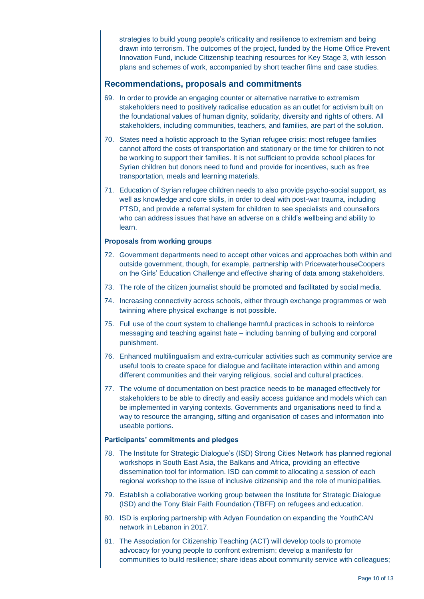strategies to build young people's criticality and resilience to extremism and being drawn into terrorism. The outcomes of the project, funded by the Home Office Prevent Innovation Fund, include Citizenship teaching resources for Key Stage 3, with lesson plans and schemes of work, accompanied by short teacher films and case studies.

## **Recommendations, proposals and commitments**

- 69. In order to provide an engaging counter or alternative narrative to extremism stakeholders need to positively radicalise education as an outlet for activism built on the foundational values of human dignity, solidarity, diversity and rights of others. All stakeholders, including communities, teachers, and families, are part of the solution.
- 70. States need a holistic approach to the Syrian refugee crisis; most refugee families cannot afford the costs of transportation and stationary or the time for children to not be working to support their families. It is not sufficient to provide school places for Syrian children but donors need to fund and provide for incentives, such as free transportation, meals and learning materials.
- 71. Education of Syrian refugee children needs to also provide psycho-social support, as well as knowledge and core skills, in order to deal with post-war trauma, including PTSD, and provide a referral system for children to see specialists and counsellors who can address issues that have an adverse on a child's wellbeing and ability to learn.

#### **Proposals from working groups**

- 72. Government departments need to accept other voices and approaches both within and outside government, though, for example, partnership with PricewaterhouseCoopers on the Girls' Education Challenge and effective sharing of data among stakeholders.
- 73. The role of the citizen journalist should be promoted and facilitated by social media.
- 74. Increasing connectivity across schools, either through exchange programmes or web twinning where physical exchange is not possible.
- 75. Full use of the court system to challenge harmful practices in schools to reinforce messaging and teaching against hate – including banning of bullying and corporal punishment.
- 76. Enhanced multilingualism and extra-curricular activities such as community service are useful tools to create space for dialogue and facilitate interaction within and among different communities and their varying religious, social and cultural practices.
- 77. The volume of documentation on best practice needs to be managed effectively for stakeholders to be able to directly and easily access guidance and models which can be implemented in varying contexts. Governments and organisations need to find a way to resource the arranging, sifting and organisation of cases and information into useable portions.

#### **Participants' commitments and pledges**

- 78. The Institute for Strategic Dialogue's (ISD) Strong Cities Network has planned regional workshops in South East Asia, the Balkans and Africa, providing an effective dissemination tool for information. ISD can commit to allocating a session of each regional workshop to the issue of inclusive citizenship and the role of municipalities.
- 79. Establish a collaborative working group between the Institute for Strategic Dialogue (ISD) and the Tony Blair Faith Foundation (TBFF) on refugees and education.
- 80. ISD is exploring partnership with Adyan Foundation on expanding the YouthCAN network in Lebanon in 2017.
- 81. The Association for Citizenship Teaching (ACT) will develop tools to promote advocacy for young people to confront extremism; develop a manifesto for communities to build resilience; share ideas about community service with colleagues;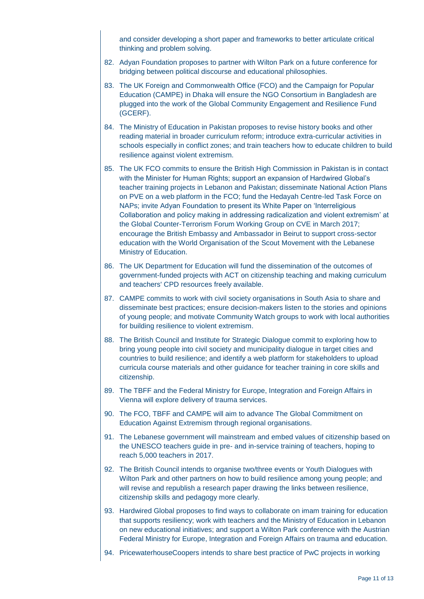and consider developing a short paper and frameworks to better articulate critical thinking and problem solving.

- 82. Adyan Foundation proposes to partner with Wilton Park on a future conference for bridging between political discourse and educational philosophies.
- 83. The UK Foreign and Commonwealth Office (FCO) and the Campaign for Popular Education (CAMPE) in Dhaka will ensure the NGO Consortium in Bangladesh are plugged into the work of the Global Community Engagement and Resilience Fund (GCERF).
- 84. The Ministry of Education in Pakistan proposes to revise history books and other reading material in broader curriculum reform; introduce extra-curricular activities in schools especially in conflict zones; and train teachers how to educate children to build resilience against violent extremism.
- 85. The UK FCO commits to ensure the British High Commission in Pakistan is in contact with the Minister for Human Rights; support an expansion of Hardwired Global's teacher training projects in Lebanon and Pakistan; disseminate National Action Plans on PVE on a web platform in the FCO; fund the Hedayah Centre-led Task Force on NAPs; invite Adyan Foundation to present its White Paper on 'Interreligious Collaboration and policy making in addressing radicalization and violent extremism' at the Global Counter-Terrorism Forum Working Group on CVE in March 2017; encourage the British Embassy and Ambassador in Beirut to support cross-sector education with the World Organisation of the Scout Movement with the Lebanese Ministry of Education.
- 86. The UK Department for Education will fund the dissemination of the outcomes of government-funded projects with ACT on citizenship teaching and making curriculum and teachers' CPD resources freely available.
- 87. CAMPE commits to work with civil society organisations in South Asia to share and disseminate best practices; ensure decision-makers listen to the stories and opinions of young people; and motivate Community Watch groups to work with local authorities for building resilience to violent extremism.
- 88. The British Council and Institute for Strategic Dialogue commit to exploring how to bring young people into civil society and municipality dialogue in target cities and countries to build resilience; and identify a web platform for stakeholders to upload curricula course materials and other guidance for teacher training in core skills and citizenship.
- 89. The TBFF and the Federal Ministry for Europe, Integration and Foreign Affairs in Vienna will explore delivery of trauma services.
- 90. The FCO, TBFF and CAMPE will aim to advance The Global Commitment on Education Against Extremism through regional organisations.
- 91. The Lebanese government will mainstream and embed values of citizenship based on the UNESCO teachers guide in pre- and in-service training of teachers, hoping to reach 5,000 teachers in 2017.
- 92. The British Council intends to organise two/three events or Youth Dialogues with Wilton Park and other partners on how to build resilience among young people; and will revise and republish a research paper drawing the links between resilience, citizenship skills and pedagogy more clearly.
- 93. Hardwired Global proposes to find ways to collaborate on imam training for education that supports resiliency; work with teachers and the Ministry of Education in Lebanon on new educational initiatives; and support a Wilton Park conference with the Austrian Federal Ministry for Europe, Integration and Foreign Affairs on trauma and education.
- 94. PricewaterhouseCoopers intends to share best practice of PwC projects in working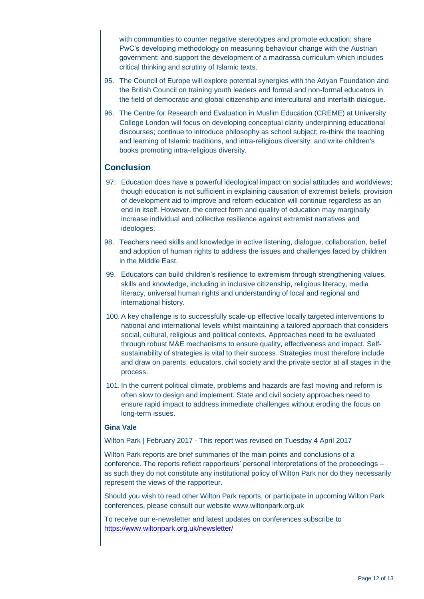with communities to counter negative stereotypes and promote education; share PwC's developing methodology on measuring behaviour change with the Austrian government; and support the development of a madrassa curriculum which includes critical thinking and scrutiny of Islamic texts.

- 95. The Council of Europe will explore potential synergies with the Adyan Foundation and the British Council on training youth leaders and formal and non-formal educators in the field of democratic and global citizenship and intercultural and interfaith dialogue.
- 96. The Centre for Research and Evaluation in Muslim Education (CREME) at University College London will focus on developing conceptual clarity underpinning educational discourses; continue to introduce philosophy as school subject; re-think the teaching and learning of Islamic traditions, and intra-religious diversity; and write children's books promoting intra-religious diversity.

## **Conclusion**

- 97. Education does have a powerful ideological impact on social attitudes and worldviews; though education is not sufficient in explaining causation of extremist beliefs, provision of development aid to improve and reform education will continue regardless as an end in itself. However, the correct form and quality of education may marginally increase individual and collective resilience against extremist narratives and ideologies.
- 98. Teachers need skills and knowledge in active listening, dialogue, collaboration, belief and adoption of human rights to address the issues and challenges faced by children in the Middle East.
- 99. Educators can build children's resilience to extremism through strengthening values, skills and knowledge, including in inclusive citizenship, religious literacy, media literacy, universal human rights and understanding of local and regional and international history.
- 100. A key challenge is to successfully scale-up effective locally targeted interventions to national and international levels whilst maintaining a tailored approach that considers social, cultural, religious and political contexts. Approaches need to be evaluated through robust M&E mechanisms to ensure quality, effectiveness and impact. Selfsustainability of strategies is vital to their success. Strategies must therefore include and draw on parents, educators, civil society and the private sector at all stages in the process.
- 101. In the current political climate, problems and hazards are fast moving and reform is often slow to design and implement. State and civil society approaches need to ensure rapid impact to address immediate challenges without eroding the focus on long-term issues.

#### **Gina Vale**

Wilton Park | February 2017 - This report was revised on Tuesday 4 April 2017

Wilton Park reports are brief summaries of the main points and conclusions of a conference. The reports reflect rapporteurs' personal interpretations of the proceedings – as such they do not constitute any institutional policy of Wilton Park nor do they necessarily represent the views of the rapporteur.

Should you wish to read other Wilton Park reports, or participate in upcoming Wilton Park conferences, please consult our website www.wiltonpark.org.uk

To receive our e-newsletter and latest updates on conferences subscribe to <https://www.wiltonpark.org.uk/newsletter/>